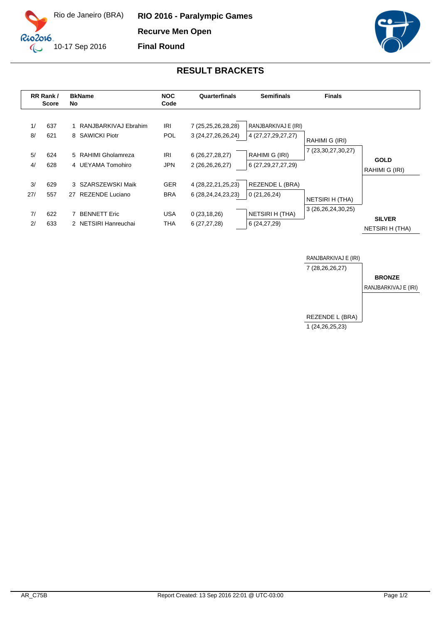

**RIO 2016 - Paralympic Games Recurve Men Open**

**Final Round**



## **RESULT BRACKETS**

|           | RR Rank /<br><b>Score</b> | <b>BkName</b><br>No                         | <b>NOC</b><br>Code       | Quarterfinals                                    | <b>Semifinals</b>                          | <b>Finals</b>          |                                         |
|-----------|---------------------------|---------------------------------------------|--------------------------|--------------------------------------------------|--------------------------------------------|------------------------|-----------------------------------------|
| 1/<br>8/  | 637<br>621                | 1 RANJBARKIVAJ Ebrahim<br>8 SAWICKI Piotr   | <b>IRI</b><br><b>POL</b> | 7 (25,25,26,28,28)<br>3 (24, 27, 26, 26, 24)     | RANJBARKIVAJ E (IRI)<br>4 (27,27,29,27,27) | RAHIMI G (IRI)         |                                         |
| 5/<br>4/  | 624<br>628                | 5 RAHIMI Gholamreza<br>4 UEYAMA Tomohiro    | <b>IRI</b><br><b>JPN</b> | 6 (26,27,28,27)<br>2 (26,26,26,27)               | RAHIMI G (IRI)<br>6 (27, 29, 27, 27, 29)   | 7 (23,30,27,30,27)     | <b>GOLD</b><br>RAHIMI G (IRI)           |
| 3/<br>27/ | 629<br>557                | 3 SZARSZEWSKI Maik<br>REZENDE Luciano<br>27 | <b>GER</b><br><b>BRA</b> | 4 (28, 22, 21, 25, 23)<br>6 (28, 24, 24, 23, 23) | REZENDE L (BRA)<br>0(21, 26, 24)           | <b>NETSIRI H (THA)</b> |                                         |
| 7/<br>2/  | 622<br>633                | <b>BENNETT Eric</b><br>2 NETSIRI Hanreuchai | USA<br>THA               | 0(23, 18, 26)<br>6(27, 27, 28)                   | NETSIRI H (THA)<br>6(24, 27, 29)           | 3 (26,26,24,30,25)     | <b>SILVER</b><br><b>NETSIRI H (THA)</b> |